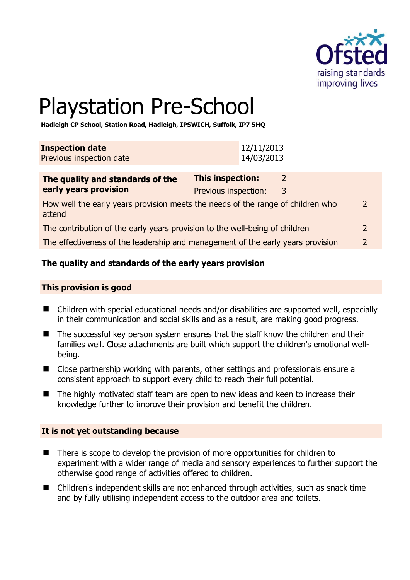

# Playstation Pre-School

**Hadleigh CP School, Station Road, Hadleigh, IPSWICH, Suffolk, IP7 5HQ** 

| <b>Inspection date</b>   | 12/11/2013 |
|--------------------------|------------|
| Previous inspection date | 14/03/2013 |

| The quality and standards of the                                                          | <b>This inspection:</b> |   |               |
|-------------------------------------------------------------------------------------------|-------------------------|---|---------------|
| early years provision                                                                     | Previous inspection:    | 3 |               |
| How well the early years provision meets the needs of the range of children who<br>attend |                         |   | $\mathcal{L}$ |
| The contribution of the early years provision to the well-being of children               |                         |   |               |
| The effectiveness of the leadership and management of the early years provision           |                         |   | $\mathcal{L}$ |

# **The quality and standards of the early years provision**

#### **This provision is good**

- Children with special educational needs and/or disabilities are supported well, especially in their communication and social skills and as a result, are making good progress.
- The successful key person system ensures that the staff know the children and their families well. Close attachments are built which support the children's emotional wellbeing.
- Close partnership working with parents, other settings and professionals ensure a consistent approach to support every child to reach their full potential.
- The highly motivated staff team are open to new ideas and keen to increase their knowledge further to improve their provision and benefit the children.

#### **It is not yet outstanding because**

- There is scope to develop the provision of more opportunities for children to experiment with a wider range of media and sensory experiences to further support the otherwise good range of activities offered to children.
- Children's independent skills are not enhanced through activities, such as snack time and by fully utilising independent access to the outdoor area and toilets.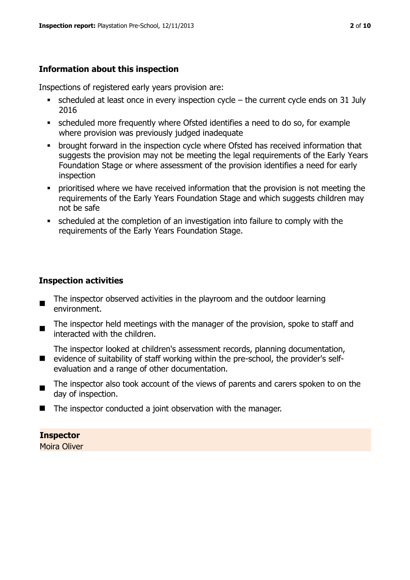# **Information about this inspection**

Inspections of registered early years provision are:

- $\blacksquare$  scheduled at least once in every inspection cycle the current cycle ends on 31 July 2016
- scheduled more frequently where Ofsted identifies a need to do so, for example where provision was previously judged inadequate
- **•** brought forward in the inspection cycle where Ofsted has received information that suggests the provision may not be meeting the legal requirements of the Early Years Foundation Stage or where assessment of the provision identifies a need for early inspection
- **•** prioritised where we have received information that the provision is not meeting the requirements of the Early Years Foundation Stage and which suggests children may not be safe
- scheduled at the completion of an investigation into failure to comply with the requirements of the Early Years Foundation Stage.

# **Inspection activities**

- $\blacksquare$ The inspector observed activities in the playroom and the outdoor learning environment.
- $\blacksquare$ The inspector held meetings with the manager of the provision, spoke to staff and interacted with the children.

■ evidence of suitability of staff working within the pre-school, the provider's self-The inspector looked at children's assessment records, planning documentation,

- evaluation and a range of other documentation.
- $\blacksquare$ The inspector also took account of the views of parents and carers spoken to on the day of inspection.
- $\blacksquare$  The inspector conducted a joint observation with the manager.

# **Inspector**

Moira Oliver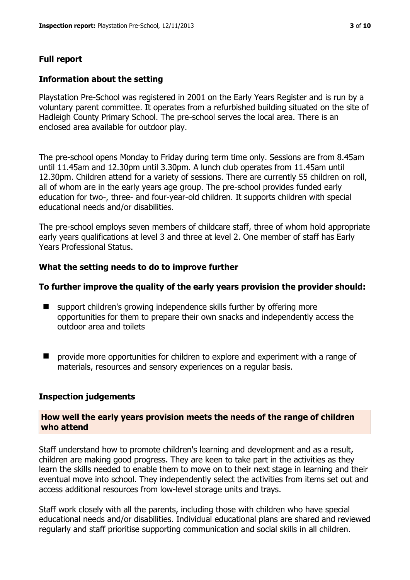# **Full report**

#### **Information about the setting**

Playstation Pre-School was registered in 2001 on the Early Years Register and is run by a voluntary parent committee. It operates from a refurbished building situated on the site of Hadleigh County Primary School. The pre-school serves the local area. There is an enclosed area available for outdoor play.

The pre-school opens Monday to Friday during term time only. Sessions are from 8.45am until 11.45am and 12.30pm until 3.30pm. A lunch club operates from 11.45am until 12.30pm. Children attend for a variety of sessions. There are currently 55 children on roll, all of whom are in the early years age group. The pre-school provides funded early education for two-, three- and four-year-old children. It supports children with special educational needs and/or disabilities.

The pre-school employs seven members of childcare staff, three of whom hold appropriate early years qualifications at level 3 and three at level 2. One member of staff has Early Years Professional Status.

#### **What the setting needs to do to improve further**

#### **To further improve the quality of the early years provision the provider should:**

- support children's growing independence skills further by offering more opportunities for them to prepare their own snacks and independently access the outdoor area and toilets
- **P** provide more opportunities for children to explore and experiment with a range of materials, resources and sensory experiences on a regular basis.

#### **Inspection judgements**

#### **How well the early years provision meets the needs of the range of children who attend**

Staff understand how to promote children's learning and development and as a result, children are making good progress. They are keen to take part in the activities as they learn the skills needed to enable them to move on to their next stage in learning and their eventual move into school. They independently select the activities from items set out and access additional resources from low-level storage units and trays.

Staff work closely with all the parents, including those with children who have special educational needs and/or disabilities. Individual educational plans are shared and reviewed regularly and staff prioritise supporting communication and social skills in all children.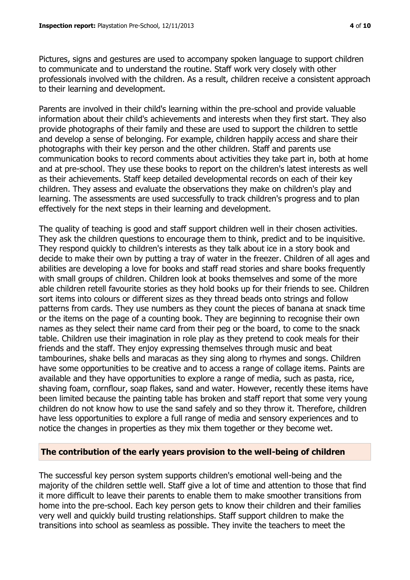Pictures, signs and gestures are used to accompany spoken language to support children to communicate and to understand the routine. Staff work very closely with other professionals involved with the children. As a result, children receive a consistent approach to their learning and development.

Parents are involved in their child's learning within the pre-school and provide valuable information about their child's achievements and interests when they first start. They also provide photographs of their family and these are used to support the children to settle and develop a sense of belonging. For example, children happily access and share their photographs with their key person and the other children. Staff and parents use communication books to record comments about activities they take part in, both at home and at pre-school. They use these books to report on the children's latest interests as well as their achievements. Staff keep detailed developmental records on each of their key children. They assess and evaluate the observations they make on children's play and learning. The assessments are used successfully to track children's progress and to plan effectively for the next steps in their learning and development.

The quality of teaching is good and staff support children well in their chosen activities. They ask the children questions to encourage them to think, predict and to be inquisitive. They respond quickly to children's interests as they talk about ice in a story book and decide to make their own by putting a tray of water in the freezer. Children of all ages and abilities are developing a love for books and staff read stories and share books frequently with small groups of children. Children look at books themselves and some of the more able children retell favourite stories as they hold books up for their friends to see. Children sort items into colours or different sizes as they thread beads onto strings and follow patterns from cards. They use numbers as they count the pieces of banana at snack time or the items on the page of a counting book. They are beginning to recognise their own names as they select their name card from their peg or the board, to come to the snack table. Children use their imagination in role play as they pretend to cook meals for their friends and the staff. They enjoy expressing themselves through music and beat tambourines, shake bells and maracas as they sing along to rhymes and songs. Children have some opportunities to be creative and to access a range of collage items. Paints are available and they have opportunities to explore a range of media, such as pasta, rice, shaving foam, cornflour, soap flakes, sand and water. However, recently these items have been limited because the painting table has broken and staff report that some very young children do not know how to use the sand safely and so they throw it. Therefore, children have less opportunities to explore a full range of media and sensory experiences and to notice the changes in properties as they mix them together or they become wet.

#### **The contribution of the early years provision to the well-being of children**

The successful key person system supports children's emotional well-being and the majority of the children settle well. Staff give a lot of time and attention to those that find it more difficult to leave their parents to enable them to make smoother transitions from home into the pre-school. Each key person gets to know their children and their families very well and quickly build trusting relationships. Staff support children to make the transitions into school as seamless as possible. They invite the teachers to meet the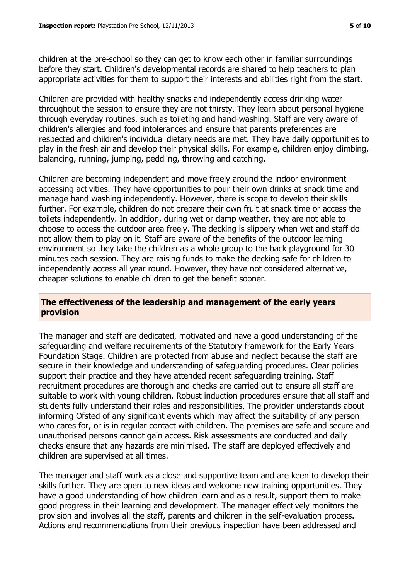children at the pre-school so they can get to know each other in familiar surroundings before they start. Children's developmental records are shared to help teachers to plan appropriate activities for them to support their interests and abilities right from the start.

Children are provided with healthy snacks and independently access drinking water throughout the session to ensure they are not thirsty. They learn about personal hygiene through everyday routines, such as toileting and hand-washing. Staff are very aware of children's allergies and food intolerances and ensure that parents preferences are respected and children's individual dietary needs are met. They have daily opportunities to play in the fresh air and develop their physical skills. For example, children enjoy climbing, balancing, running, jumping, peddling, throwing and catching.

Children are becoming independent and move freely around the indoor environment accessing activities. They have opportunities to pour their own drinks at snack time and manage hand washing independently. However, there is scope to develop their skills further. For example, children do not prepare their own fruit at snack time or access the toilets independently. In addition, during wet or damp weather, they are not able to choose to access the outdoor area freely. The decking is slippery when wet and staff do not allow them to play on it. Staff are aware of the benefits of the outdoor learning environment so they take the children as a whole group to the back playground for 30 minutes each session. They are raising funds to make the decking safe for children to independently access all year round. However, they have not considered alternative, cheaper solutions to enable children to get the benefit sooner.

#### **The effectiveness of the leadership and management of the early years provision**

The manager and staff are dedicated, motivated and have a good understanding of the safeguarding and welfare requirements of the Statutory framework for the Early Years Foundation Stage. Children are protected from abuse and neglect because the staff are secure in their knowledge and understanding of safeguarding procedures. Clear policies support their practice and they have attended recent safeguarding training. Staff recruitment procedures are thorough and checks are carried out to ensure all staff are suitable to work with young children. Robust induction procedures ensure that all staff and students fully understand their roles and responsibilities. The provider understands about informing Ofsted of any significant events which may affect the suitability of any person who cares for, or is in regular contact with children. The premises are safe and secure and unauthorised persons cannot gain access. Risk assessments are conducted and daily checks ensure that any hazards are minimised. The staff are deployed effectively and children are supervised at all times.

The manager and staff work as a close and supportive team and are keen to develop their skills further. They are open to new ideas and welcome new training opportunities. They have a good understanding of how children learn and as a result, support them to make good progress in their learning and development. The manager effectively monitors the provision and involves all the staff, parents and children in the self-evaluation process. Actions and recommendations from their previous inspection have been addressed and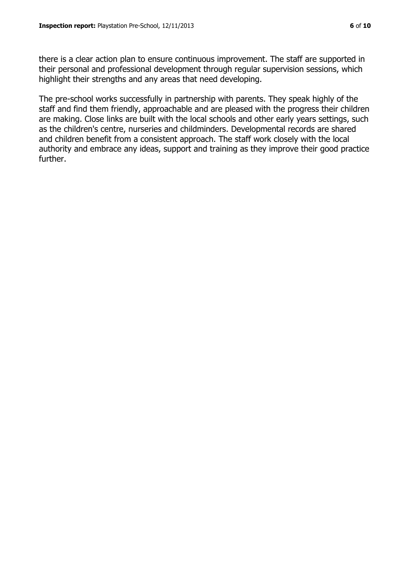there is a clear action plan to ensure continuous improvement. The staff are supported in their personal and professional development through regular supervision sessions, which highlight their strengths and any areas that need developing.

The pre-school works successfully in partnership with parents. They speak highly of the staff and find them friendly, approachable and are pleased with the progress their children are making. Close links are built with the local schools and other early years settings, such as the children's centre, nurseries and childminders. Developmental records are shared and children benefit from a consistent approach. The staff work closely with the local authority and embrace any ideas, support and training as they improve their good practice further.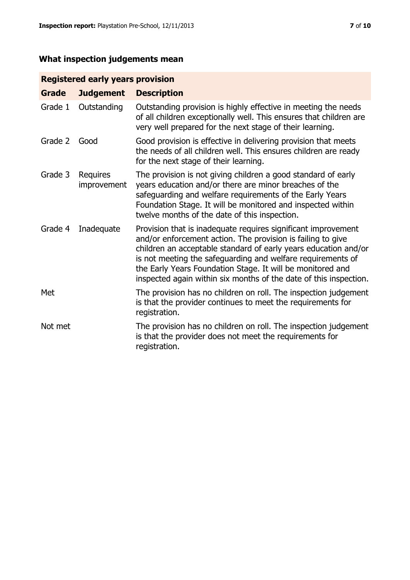# **What inspection judgements mean**

# **Registered early years provision**

| <b>Grade</b> | <b>Judgement</b>        | <b>Description</b>                                                                                                                                                                                                                                                                                                                                                                                |
|--------------|-------------------------|---------------------------------------------------------------------------------------------------------------------------------------------------------------------------------------------------------------------------------------------------------------------------------------------------------------------------------------------------------------------------------------------------|
| Grade 1      | Outstanding             | Outstanding provision is highly effective in meeting the needs<br>of all children exceptionally well. This ensures that children are<br>very well prepared for the next stage of their learning.                                                                                                                                                                                                  |
| Grade 2      | Good                    | Good provision is effective in delivering provision that meets<br>the needs of all children well. This ensures children are ready<br>for the next stage of their learning.                                                                                                                                                                                                                        |
| Grade 3      | Requires<br>improvement | The provision is not giving children a good standard of early<br>years education and/or there are minor breaches of the<br>safeguarding and welfare requirements of the Early Years<br>Foundation Stage. It will be monitored and inspected within<br>twelve months of the date of this inspection.                                                                                               |
| Grade 4      | Inadequate              | Provision that is inadequate requires significant improvement<br>and/or enforcement action. The provision is failing to give<br>children an acceptable standard of early years education and/or<br>is not meeting the safeguarding and welfare requirements of<br>the Early Years Foundation Stage. It will be monitored and<br>inspected again within six months of the date of this inspection. |
| Met          |                         | The provision has no children on roll. The inspection judgement<br>is that the provider continues to meet the requirements for<br>registration.                                                                                                                                                                                                                                                   |
| Not met      |                         | The provision has no children on roll. The inspection judgement<br>is that the provider does not meet the requirements for<br>registration.                                                                                                                                                                                                                                                       |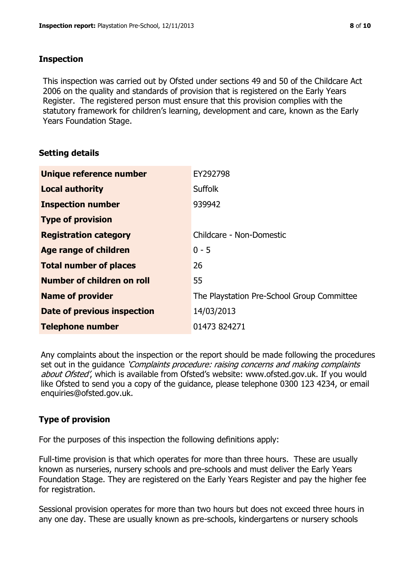#### **Inspection**

This inspection was carried out by Ofsted under sections 49 and 50 of the Childcare Act 2006 on the quality and standards of provision that is registered on the Early Years Register. The registered person must ensure that this provision complies with the statutory framework for children's learning, development and care, known as the Early Years Foundation Stage.

# **Setting details**

| Unique reference number       | EY292798                                   |
|-------------------------------|--------------------------------------------|
| <b>Local authority</b>        | <b>Suffolk</b>                             |
| <b>Inspection number</b>      | 939942                                     |
| <b>Type of provision</b>      |                                            |
| <b>Registration category</b>  | Childcare - Non-Domestic                   |
| Age range of children         | $0 - 5$                                    |
| <b>Total number of places</b> | 26                                         |
| Number of children on roll    | 55                                         |
| <b>Name of provider</b>       | The Playstation Pre-School Group Committee |
| Date of previous inspection   | 14/03/2013                                 |
| <b>Telephone number</b>       | 01473 824271                               |

Any complaints about the inspection or the report should be made following the procedures set out in the guidance *'Complaints procedure: raising concerns and making complaints* about Ofsted', which is available from Ofsted's website: www.ofsted.gov.uk. If you would like Ofsted to send you a copy of the guidance, please telephone 0300 123 4234, or email enquiries@ofsted.gov.uk.

# **Type of provision**

For the purposes of this inspection the following definitions apply:

Full-time provision is that which operates for more than three hours. These are usually known as nurseries, nursery schools and pre-schools and must deliver the Early Years Foundation Stage. They are registered on the Early Years Register and pay the higher fee for registration.

Sessional provision operates for more than two hours but does not exceed three hours in any one day. These are usually known as pre-schools, kindergartens or nursery schools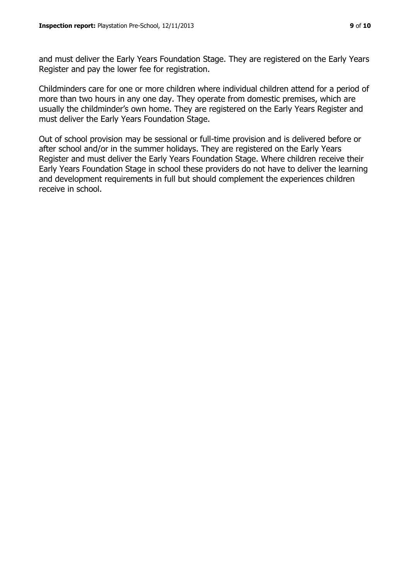and must deliver the Early Years Foundation Stage. They are registered on the Early Years Register and pay the lower fee for registration.

Childminders care for one or more children where individual children attend for a period of more than two hours in any one day. They operate from domestic premises, which are usually the childminder's own home. They are registered on the Early Years Register and must deliver the Early Years Foundation Stage.

Out of school provision may be sessional or full-time provision and is delivered before or after school and/or in the summer holidays. They are registered on the Early Years Register and must deliver the Early Years Foundation Stage. Where children receive their Early Years Foundation Stage in school these providers do not have to deliver the learning and development requirements in full but should complement the experiences children receive in school.